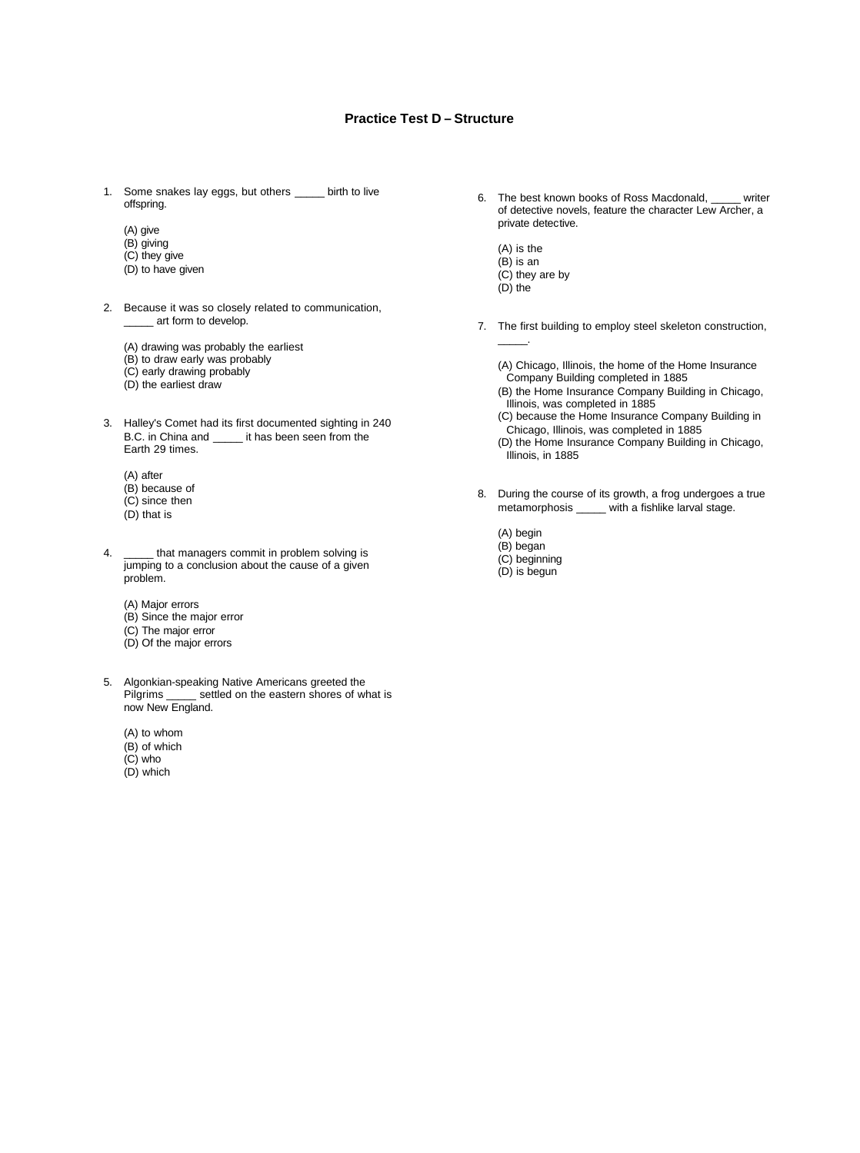## **Practice Test D – Structure**

- 1. Some snakes lay eggs, but others \_\_\_\_\_ birth to live offspring.
	- (A) give
	- (B) giving
	- (C) they give
	- (D) to have given
- 2. Because it was so closely related to communication, \_\_\_ art form to develop.
	- (A) drawing was probably the earliest
	- (B) to draw early was probably
	- (C) early drawing probably
	- (D) the earliest draw
- 3. Halley's Comet had its first documented sighting in 240 B.C. in China and \_\_\_\_\_ it has been seen from the Earth 29 times.
	- (A) after
	- (B) because of
	- (C) since then
	- (D) that is
- 4. \_\_\_\_\_\_ that managers commit in problem solving is jumping to a conclusion about the cause of a given problem.
	- (A) Major errors
	- (B) Since the major error
	- (C) The major error
	- (D) Of the major errors
- 5. Algonkian-speaking Native Americans greeted the Pilgrims \_\_\_\_\_ settled on the eastern shores of what is now New England.
	- (A) to whom
	- (B) of which
	- (C) who
	- (D) which
- 6. The best known books of Ross Macdonald, \_\_\_\_\_ writer of detective novels, feature the character Lew Archer, a private detective.
	- (A) is the  $(B)$  is an (C) they are by
	- (D) the

\_\_\_\_\_.

7. The first building to employ steel skeleton construction,

(A) Chicago, Illinois, the home of the Home Insurance Company Building completed in 1885 (B) the Home Insurance Company Building in Chicago, Illinois, was completed in 1885

(C) because the Home Insurance Company Building in Chicago, Illinois, was completed in 1885

(D) the Home Insurance Company Building in Chicago, Illinois, in 1885

- 8. During the course of its growth, a frog undergoes a true metamorphosis \_\_\_\_\_ with a fishlike larval stage.
	- (A) begin (B) began (C) beginning
	- (D) is begun
	-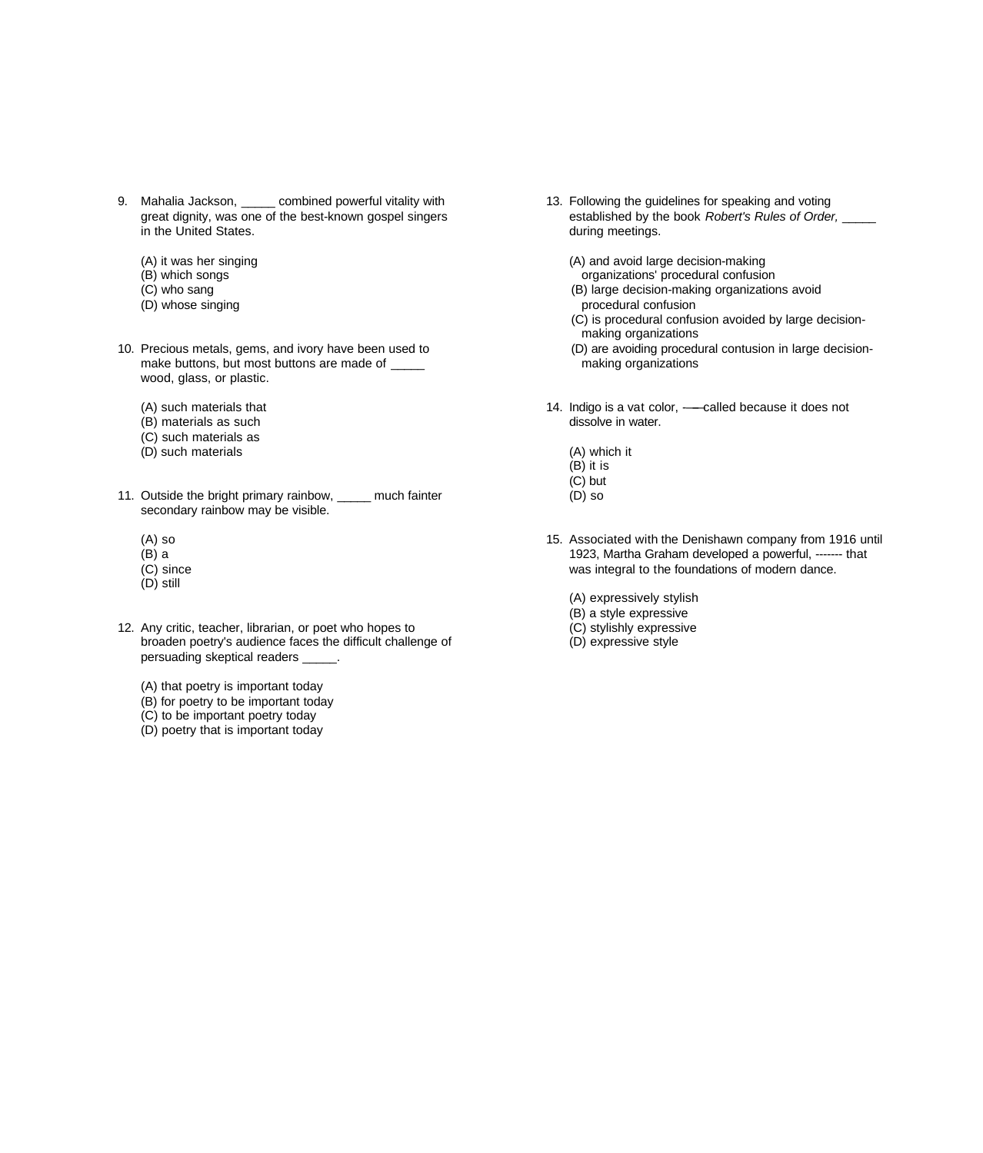- 9. Mahalia Jackson, \_\_\_\_\_ combined powerful vitality with great dignity, was one of the best-known gospel singers in the United States.
	- (A) it was her singing
	- (B) which songs
	- (C) who sang
	- (D) whose singing
- 10. Precious metals, gems, and ivory have been used to make buttons, but most buttons are made of \_\_\_\_\_ wood, glass, or plastic.
	- (A) such materials that
	- (B) materials as such
	- (C) such materials as
	- (D) such materials
- 11. Outside the bright primary rainbow, much fainter secondary rainbow may be visible.
	- (A) so
	- $(B)$  a
	- (C) since
	- (D) still
- 12. Any critic, teacher, librarian, or poet who hopes to broaden poetry's audience faces the difficult challenge of persuading skeptical readers \_\_\_\_\_.
	- (A) that poetry is important today
	- (B) for poetry to be important today
	- (C) to be important poetry today
	- (D) poetry that is important today
- 13. Following the guidelines for speaking and voting established by the book *Robert's Rules of Order,* \_\_\_\_\_ during meetings.
	- (A) and avoid large decision-making
	- organizations' procedural confusion (B) large decision-making organizations avoid
	- procedural confusion
	- (C) is procedural confusion avoided by large decisionmaking organizations
	- (D) are avoiding procedural contusion in large decisionmaking organizations
- 14. Indigo is a vat color, -- called because it does not dissolve in water.
	- (A) which it  $(B)$  it is (C) but (D) so
- 15. Associated with the Denishawn company from 1916 until 1923, Martha Graham developed a powerful, ------- that was integral to the foundations of modern dance.
	- (A) expressively stylish
	- (B) a style expressive
	- (C) stylishly expressive
	- (D) expressive style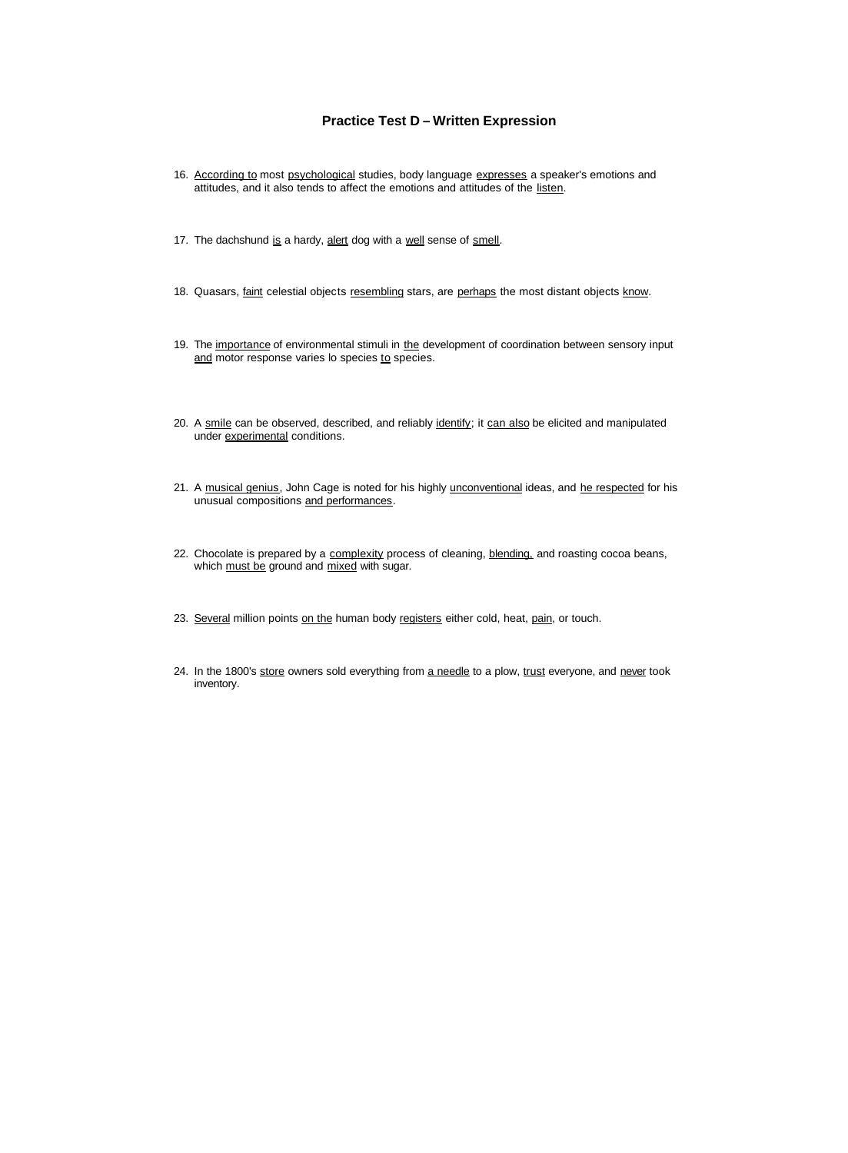## **Practice Test D – Written Expression**

- 16. According to most psychological studies, body language expresses a speaker's emotions and attitudes, and it also tends to affect the emotions and attitudes of the listen.
- 17. The dachshund is a hardy, alert dog with a well sense of smell.
- 18. Quasars, faint celestial objects resembling stars, are perhaps the most distant objects know.
- 19. The importance of environmental stimuli in the development of coordination between sensory input and motor response varies lo species to species.
- 20. A smile can be observed, described, and reliably identify; it can also be elicited and manipulated under experimental conditions.
- 21. A musical genius, John Cage is noted for his highly unconventional ideas, and he respected for his unusual compositions and performances.
- 22. Chocolate is prepared by a complexity process of cleaning, blending, and roasting cocoa beans, which must be ground and mixed with sugar.
- 23. Several million points on the human body registers either cold, heat, pain, or touch.
- 24. In the 1800's store owners sold everything from a needle to a plow, trust everyone, and never took inventory.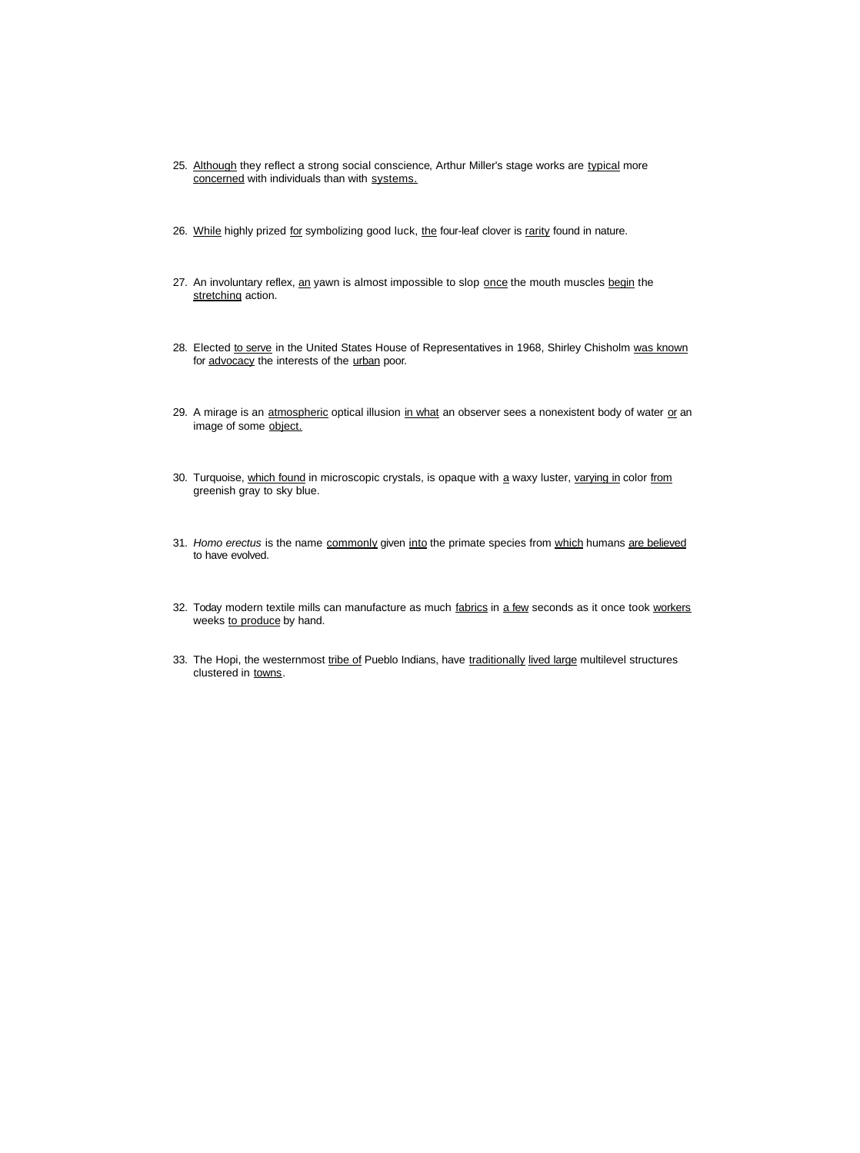- 25. Although they reflect a strong social conscience, Arthur Miller's stage works are typical more concerned with individuals than with systems.
- 26. While highly prized for symbolizing good luck, the four-leaf clover is rarity found in nature.
- 27. An involuntary reflex, an yawn is almost impossible to slop once the mouth muscles begin the stretching action.
- 28. Elected to serve in the United States House of Representatives in 1968, Shirley Chisholm was known for advocacy the interests of the urban poor.
- 29. A mirage is an atmospheric optical illusion in what an observer sees a nonexistent body of water or an image of some object.
- 30. Turquoise, which found in microscopic crystals, is opaque with a waxy luster, varying in color from greenish gray to sky blue.
- 31. *Homo erectus* is the name commonly given into the primate species from which humans are believed to have evolved.
- 32. Today modern textile mills can manufacture as much fabrics in a few seconds as it once took workers weeks to produce by hand.
- 33. The Hopi, the westernmost tribe of Pueblo Indians, have traditionally lived large multilevel structures clustered in towns.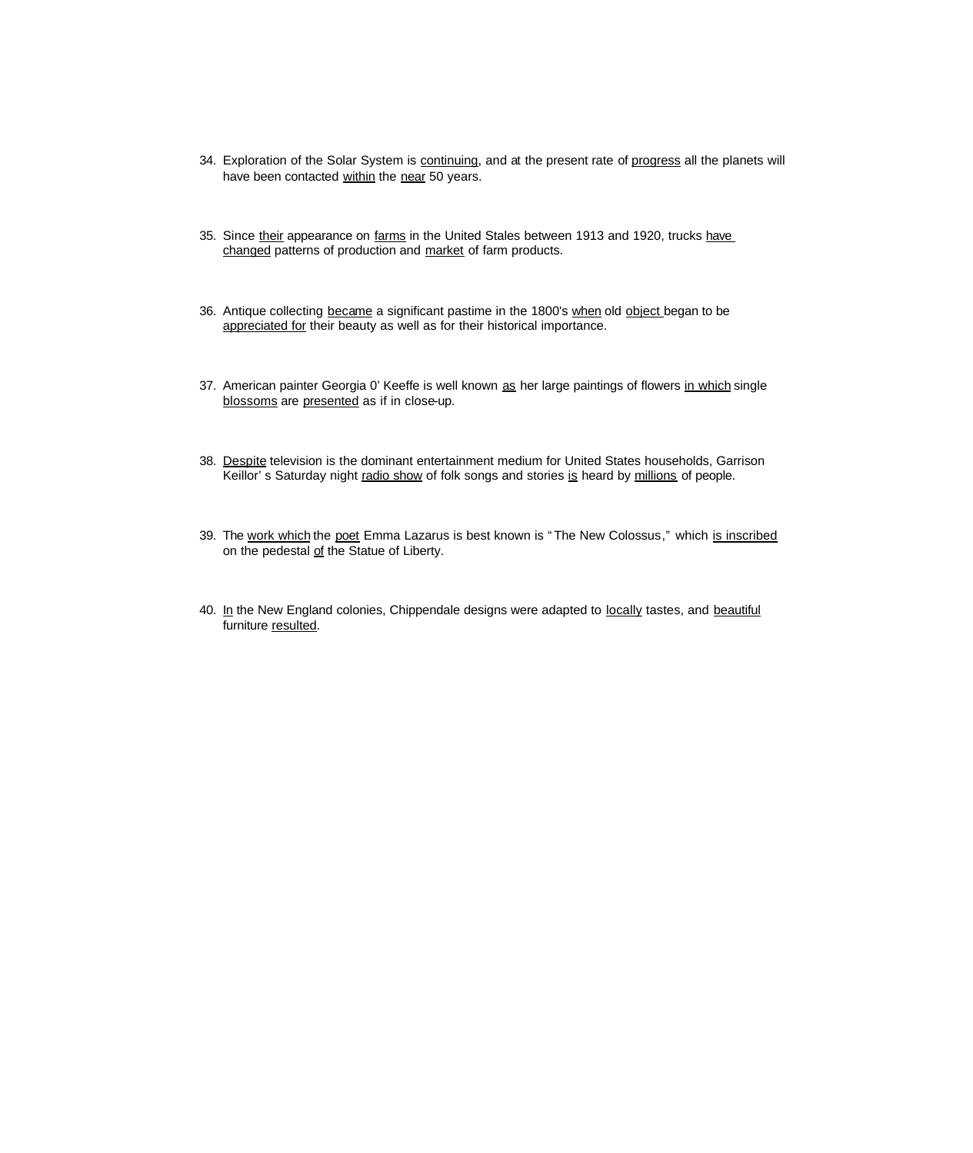- 34. Exploration of the Solar System is continuing, and at the present rate of progress all the planets will have been contacted within the near 50 years.
- 35. Since their appearance on farms in the United Stales between 1913 and 1920, trucks have changed patterns of production and market of farm products.
- 36. Antique collecting became a significant pastime in the 1800's when old object began to be appreciated for their beauty as well as for their historical importance.
- 37. American painter Georgia 0' Keeffe is well known as her large paintings of flowers in which single blossoms are presented as if in close-up.
- 38. Despite television is the dominant entertainment medium for United States households, Garrison Keillor's Saturday night radio show of folk songs and stories is heard by millions of people.
- 39. The work which the poet Emma Lazarus is best known is "The New Colossus," which is inscribed on the pedestal of the Statue of Liberty.
- 40. In the New England colonies, Chippendale designs were adapted to locally tastes, and beautiful furniture resulted.